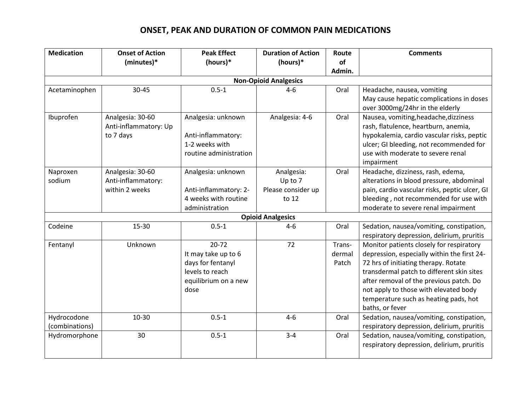## **ONSET, PEAK AND DURATION OF COMMON PAIN MEDICATIONS**

| <b>Medication</b>            | <b>Onset of Action</b>                    | <b>Peak Effect</b>     | <b>Duration of Action</b> | Route  | <b>Comments</b>                                                               |  |  |  |  |
|------------------------------|-------------------------------------------|------------------------|---------------------------|--------|-------------------------------------------------------------------------------|--|--|--|--|
|                              | (minutes)*                                | (hours)*               | (hours)*                  | of     |                                                                               |  |  |  |  |
|                              |                                           |                        |                           | Admin. |                                                                               |  |  |  |  |
| <b>Non-Opioid Analgesics</b> |                                           |                        |                           |        |                                                                               |  |  |  |  |
| Acetaminophen                | 30-45                                     | $0.5 - 1$              | $4 - 6$                   | Oral   | Headache, nausea, vomiting                                                    |  |  |  |  |
|                              |                                           |                        |                           |        | May cause hepatic complications in doses<br>over 3000mg/24hr in the elderly   |  |  |  |  |
| Ibuprofen                    | Analgesia: 30-60<br>Anti-inflammatory: Up | Analgesia: unknown     | Analgesia: 4-6            | Oral   | Nausea, vomiting, headache, dizziness<br>rash, flatulence, heartburn, anemia, |  |  |  |  |
|                              | to 7 days                                 | Anti-inflammatory:     |                           |        | hypokalemia, cardio vascular risks, peptic                                    |  |  |  |  |
|                              |                                           | 1-2 weeks with         |                           |        | ulcer; GI bleeding, not recommended for                                       |  |  |  |  |
|                              |                                           | routine administration |                           |        | use with moderate to severe renal                                             |  |  |  |  |
|                              |                                           |                        |                           |        | impairment                                                                    |  |  |  |  |
| Naproxen                     | Analgesia: 30-60                          | Analgesia: unknown     | Analgesia:                | Oral   | Headache, dizziness, rash, edema,                                             |  |  |  |  |
| sodium                       | Anti-inflammatory:                        |                        | Up to 7                   |        | alterations in blood pressure, abdominal                                      |  |  |  |  |
|                              | within 2 weeks                            | Anti-inflammatory: 2-  | Please consider up        |        | pain, cardio vascular risks, peptic ulcer, GI                                 |  |  |  |  |
|                              |                                           | 4 weeks with routine   | to 12                     |        | bleeding, not recommended for use with                                        |  |  |  |  |
|                              |                                           | administration         |                           |        | moderate to severe renal impairment                                           |  |  |  |  |
| <b>Opioid Analgesics</b>     |                                           |                        |                           |        |                                                                               |  |  |  |  |
| Codeine                      | 15-30                                     | $0.5 - 1$              | $4 - 6$                   | Oral   | Sedation, nausea/vomiting, constipation,                                      |  |  |  |  |
|                              |                                           |                        |                           |        | respiratory depression, delirium, pruritis                                    |  |  |  |  |
| Fentanyl                     | Unknown                                   | $20 - 72$              | 72                        | Trans- | Monitor patients closely for respiratory                                      |  |  |  |  |
|                              |                                           | It may take up to 6    |                           | dermal | depression, especially within the first 24-                                   |  |  |  |  |
|                              |                                           | days for fentanyl      |                           | Patch  | 72 hrs of initiating therapy. Rotate                                          |  |  |  |  |
|                              |                                           | levels to reach        |                           |        | transdermal patch to different skin sites                                     |  |  |  |  |
|                              |                                           | equilibrium on a new   |                           |        | after removal of the previous patch. Do                                       |  |  |  |  |
|                              |                                           | dose                   |                           |        | not apply to those with elevated body                                         |  |  |  |  |
|                              |                                           |                        |                           |        | temperature such as heating pads, hot                                         |  |  |  |  |
|                              |                                           |                        |                           |        | baths, or fever                                                               |  |  |  |  |
| Hydrocodone                  | 10-30                                     | $0.5 - 1$              | $4 - 6$                   | Oral   | Sedation, nausea/vomiting, constipation,                                      |  |  |  |  |
| (combinations)               |                                           |                        |                           |        | respiratory depression, delirium, pruritis                                    |  |  |  |  |
| Hydromorphone                | 30                                        | $0.5 - 1$              | $3 - 4$                   | Oral   | Sedation, nausea/vomiting, constipation,                                      |  |  |  |  |
|                              |                                           |                        |                           |        | respiratory depression, delirium, pruritis                                    |  |  |  |  |
|                              |                                           |                        |                           |        |                                                                               |  |  |  |  |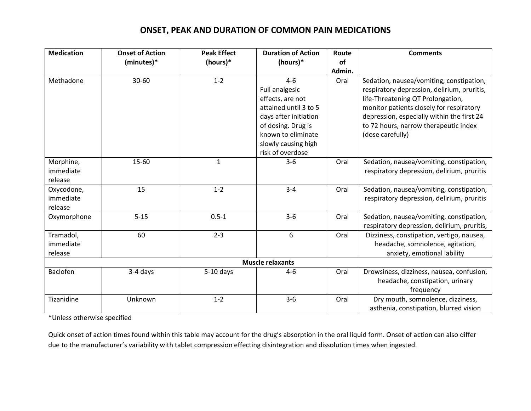## **ONSET, PEAK AND DURATION OF COMMON PAIN MEDICATIONS**

| <b>Medication</b>                  | <b>Onset of Action</b><br>(minutes)* | <b>Peak Effect</b><br>(hours)* | <b>Duration of Action</b><br>(hours)*                                                                                                                                                  | Route<br>of | <b>Comments</b>                                                                                                                                                                                                                                                                     |  |  |  |
|------------------------------------|--------------------------------------|--------------------------------|----------------------------------------------------------------------------------------------------------------------------------------------------------------------------------------|-------------|-------------------------------------------------------------------------------------------------------------------------------------------------------------------------------------------------------------------------------------------------------------------------------------|--|--|--|
|                                    |                                      |                                |                                                                                                                                                                                        | Admin.      |                                                                                                                                                                                                                                                                                     |  |  |  |
| Methadone                          | $30 - 60$                            | $1 - 2$                        | $4 - 6$<br>Full analgesic<br>effects, are not<br>attained until 3 to 5<br>days after initiation<br>of dosing. Drug is<br>known to eliminate<br>slowly causing high<br>risk of overdose | Oral        | Sedation, nausea/vomiting, constipation,<br>respiratory depression, delirium, pruritis,<br>life-Threatening QT Prolongation,<br>monitor patients closely for respiratory<br>depression, especially within the first 24<br>to 72 hours, narrow therapeutic index<br>(dose carefully) |  |  |  |
| Morphine,<br>immediate<br>release  | 15-60                                | $\mathbf{1}$                   | $3 - 6$                                                                                                                                                                                | Oral        | Sedation, nausea/vomiting, constipation,<br>respiratory depression, delirium, pruritis                                                                                                                                                                                              |  |  |  |
| Oxycodone,<br>immediate<br>release | 15                                   | $1 - 2$                        | $3 - 4$                                                                                                                                                                                | Oral        | Sedation, nausea/vomiting, constipation,<br>respiratory depression, delirium, pruritis                                                                                                                                                                                              |  |  |  |
| Oxymorphone                        | $5 - 15$                             | $0.5 - 1$                      | $3-6$                                                                                                                                                                                  | Oral        | Sedation, nausea/vomiting, constipation,<br>respiratory depression, delirium, pruritis,                                                                                                                                                                                             |  |  |  |
| Tramadol,<br>immediate<br>release  | 60                                   | $2 - 3$                        | 6                                                                                                                                                                                      | Oral        | Dizziness, constipation, vertigo, nausea,<br>headache, somnolence, agitation,<br>anxiety, emotional lability                                                                                                                                                                        |  |  |  |
| <b>Muscle relaxants</b>            |                                      |                                |                                                                                                                                                                                        |             |                                                                                                                                                                                                                                                                                     |  |  |  |
| Baclofen                           | 3-4 days                             | $5-10$ days                    | $4 - 6$                                                                                                                                                                                | Oral        | Drowsiness, dizziness, nausea, confusion,<br>headache, constipation, urinary<br>frequency                                                                                                                                                                                           |  |  |  |
| Tizanidine                         | Unknown                              | $1 - 2$                        | $3-6$                                                                                                                                                                                  | Oral        | Dry mouth, somnolence, dizziness,<br>asthenia, constipation, blurred vision                                                                                                                                                                                                         |  |  |  |

\*Unless otherwise specified

Quick onset of action times found within this table may account for the drug's absorption in the oral liquid form. Onset of action can also differ due to the manufacturer's variability with tablet compression effecting disintegration and dissolution times when ingested.